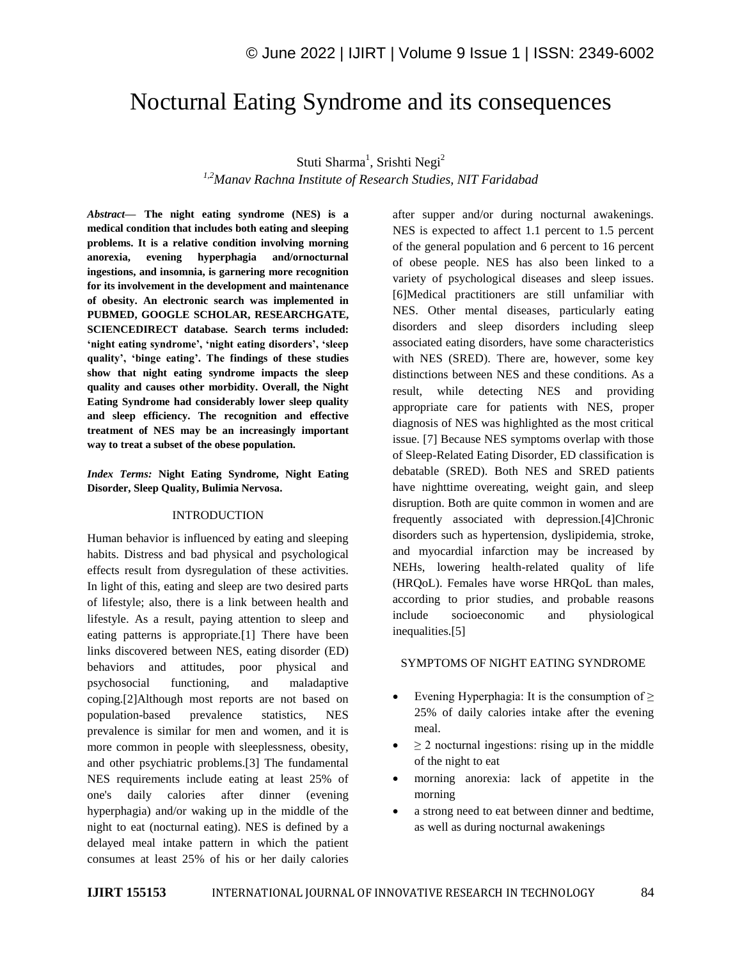# Nocturnal Eating Syndrome and its consequences

# Stuti Sharma<sup>1</sup>, Srishti Negi<sup>2</sup> *1,2Manav Rachna Institute of Research Studies, NIT Faridabad*

*Abstract—* **The night eating syndrome (NES) is a medical condition that includes both eating and sleeping problems. It is a relative condition involving morning anorexia, evening hyperphagia and/ornocturnal ingestions, and insomnia, is garnering more recognition for its involvement in the development and maintenance of obesity. An electronic search was implemented in PUBMED, GOOGLE SCHOLAR, RESEARCHGATE, SCIENCEDIRECT database. Search terms included: 'night eating syndrome', 'night eating disorders', 'sleep quality', 'binge eating'. The findings of these studies show that night eating syndrome impacts the sleep quality and causes other morbidity. Overall, the Night Eating Syndrome had considerably lower sleep quality and sleep efficiency. The recognition and effective treatment of NES may be an increasingly important way to treat a subset of the obese population.**

*Index Terms:* **Night Eating Syndrome, Night Eating Disorder, Sleep Quality, Bulimia Nervosa.**

#### INTRODUCTION

Human behavior is influenced by eating and sleeping habits. Distress and bad physical and psychological effects result from dysregulation of these activities. In light of this, eating and sleep are two desired parts of lifestyle; also, there is a link between health and lifestyle. As a result, paying attention to sleep and eating patterns is appropriate.[1] There have been links discovered between NES, eating disorder (ED) behaviors and attitudes, poor physical and psychosocial functioning, and maladaptive coping.[2]Although most reports are not based on population-based prevalence statistics, NES prevalence is similar for men and women, and it is more common in people with sleeplessness, obesity, and other psychiatric problems.[3] The fundamental NES requirements include eating at least 25% of one's daily calories after dinner (evening hyperphagia) and/or waking up in the middle of the night to eat (nocturnal eating). NES is defined by a delayed meal intake pattern in which the patient consumes at least 25% of his or her daily calories after supper and/or during nocturnal awakenings. NES is expected to affect 1.1 percent to 1.5 percent of the general population and 6 percent to 16 percent of obese people. NES has also been linked to a variety of psychological diseases and sleep issues. [6]Medical practitioners are still unfamiliar with NES. Other mental diseases, particularly eating disorders and sleep disorders including sleep associated eating disorders, have some characteristics with NES (SRED). There are, however, some key distinctions between NES and these conditions. As a result, while detecting NES and providing appropriate care for patients with NES, proper diagnosis of NES was highlighted as the most critical issue. [7] Because NES symptoms overlap with those of Sleep-Related Eating Disorder, ED classification is debatable (SRED). Both NES and SRED patients have nighttime overeating, weight gain, and sleep disruption. Both are quite common in women and are frequently associated with depression.[4]Chronic disorders such as hypertension, dyslipidemia, stroke, and myocardial infarction may be increased by NEHs, lowering health-related quality of life (HRQoL). Females have worse HRQoL than males, according to prior studies, and probable reasons include socioeconomic and physiological inequalities.[5]

#### SYMPTOMS OF NIGHT EATING SYNDROME

- Evening Hyperphagia: It is the consumption of  $\geq$ 25% of daily calories intake after the evening meal.
- $\geq$  2 nocturnal ingestions: rising up in the middle of the night to eat
- morning anorexia: lack of appetite in the morning
- a strong need to eat between dinner and bedtime, as well as during nocturnal awakenings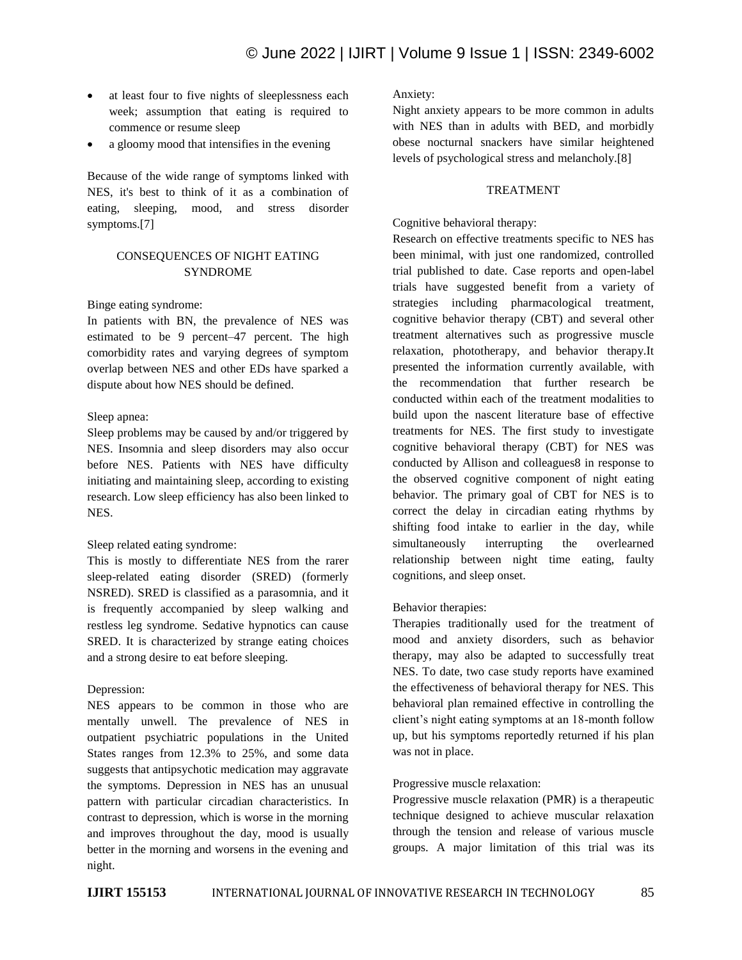- at least four to five nights of sleeplessness each week; assumption that eating is required to commence or resume sleep
- a gloomy mood that intensifies in the evening

Because of the wide range of symptoms linked with NES, it's best to think of it as a combination of eating, sleeping, mood, and stress disorder symptoms.[7]

# CONSEQUENCES OF NIGHT EATING SYNDROME

#### Binge eating syndrome:

In patients with BN, the prevalence of NES was estimated to be 9 percent–47 percent. The high comorbidity rates and varying degrees of symptom overlap between NES and other EDs have sparked a dispute about how NES should be defined.

#### Sleep apnea:

Sleep problems may be caused by and/or triggered by NES. Insomnia and sleep disorders may also occur before NES. Patients with NES have difficulty initiating and maintaining sleep, according to existing research. Low sleep efficiency has also been linked to NES.

#### Sleep related eating syndrome:

This is mostly to differentiate NES from the rarer sleep-related eating disorder (SRED) (formerly NSRED). SRED is classified as a parasomnia, and it is frequently accompanied by sleep walking and restless leg syndrome. Sedative hypnotics can cause SRED. It is characterized by strange eating choices and a strong desire to eat before sleeping.

## Depression:

NES appears to be common in those who are mentally unwell. The prevalence of NES in outpatient psychiatric populations in the United States ranges from 12.3% to 25%, and some data suggests that antipsychotic medication may aggravate the symptoms. Depression in NES has an unusual pattern with particular circadian characteristics. In contrast to depression, which is worse in the morning and improves throughout the day, mood is usually better in the morning and worsens in the evening and night.

Anxiety:

Night anxiety appears to be more common in adults with NES than in adults with BED, and morbidly obese nocturnal snackers have similar heightened levels of psychological stress and melancholy.[8]

## TREATMENT

#### Cognitive behavioral therapy:

Research on effective treatments specific to NES has been minimal, with just one randomized, controlled trial published to date. Case reports and open-label trials have suggested benefit from a variety of strategies including pharmacological treatment, cognitive behavior therapy (CBT) and several other treatment alternatives such as progressive muscle relaxation, phototherapy, and behavior therapy.It presented the information currently available, with the recommendation that further research be conducted within each of the treatment modalities to build upon the nascent literature base of effective treatments for NES. The first study to investigate cognitive behavioral therapy (CBT) for NES was conducted by Allison and colleagues8 in response to the observed cognitive component of night eating behavior. The primary goal of CBT for NES is to correct the delay in circadian eating rhythms by shifting food intake to earlier in the day, while simultaneously interrupting the overlearned relationship between night time eating, faulty cognitions, and sleep onset.

## Behavior therapies:

Therapies traditionally used for the treatment of mood and anxiety disorders, such as behavior therapy, may also be adapted to successfully treat NES. To date, two case study reports have examined the effectiveness of behavioral therapy for NES. This behavioral plan remained effective in controlling the client's night eating symptoms at an 18-month follow up, but his symptoms reportedly returned if his plan was not in place.

## Progressive muscle relaxation:

Progressive muscle relaxation (PMR) is a therapeutic technique designed to achieve muscular relaxation through the tension and release of various muscle groups. A major limitation of this trial was its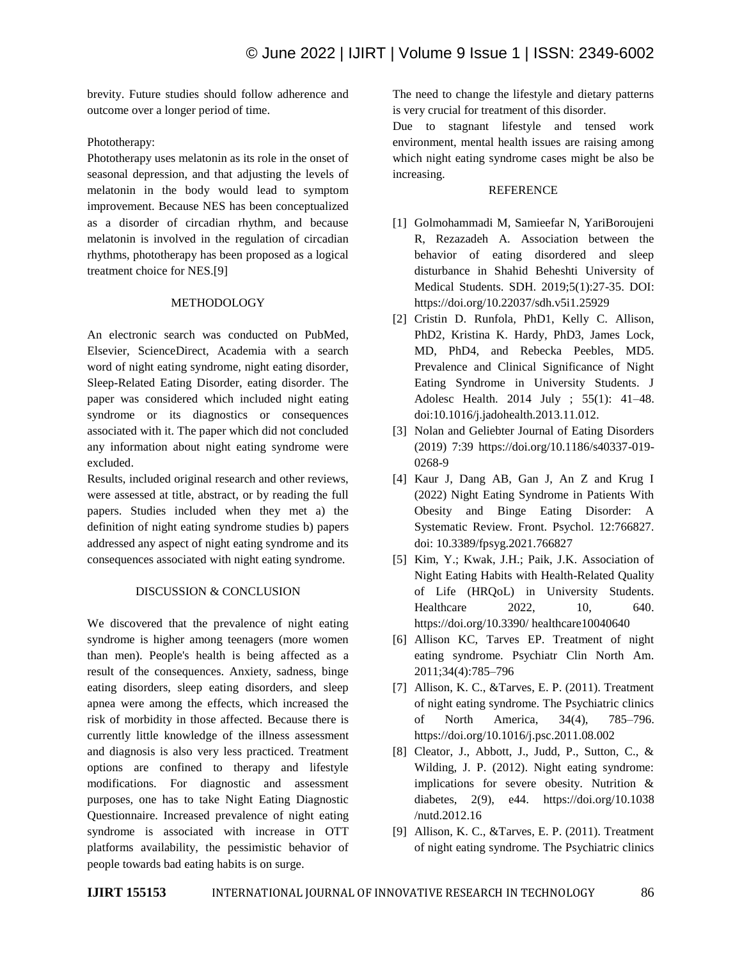brevity. Future studies should follow adherence and outcome over a longer period of time.

# Phototherapy:

Phototherapy uses melatonin as its role in the onset of seasonal depression, and that adjusting the levels of melatonin in the body would lead to symptom improvement. Because NES has been conceptualized as a disorder of circadian rhythm, and because melatonin is involved in the regulation of circadian rhythms, phototherapy has been proposed as a logical treatment choice for NES.[9]

## **METHODOLOGY**

An electronic search was conducted on PubMed, Elsevier, ScienceDirect, Academia with a search word of night eating syndrome, night eating disorder, Sleep-Related Eating Disorder, eating disorder. The paper was considered which included night eating syndrome or its diagnostics or consequences associated with it. The paper which did not concluded any information about night eating syndrome were excluded.

Results, included original research and other reviews, were assessed at title, abstract, or by reading the full papers. Studies included when they met a) the definition of night eating syndrome studies b) papers addressed any aspect of night eating syndrome and its consequences associated with night eating syndrome.

# DISCUSSION & CONCLUSION

We discovered that the prevalence of night eating syndrome is higher among teenagers (more women than men). People's health is being affected as a result of the consequences. Anxiety, sadness, binge eating disorders, sleep eating disorders, and sleep apnea were among the effects, which increased the risk of morbidity in those affected. Because there is currently little knowledge of the illness assessment and diagnosis is also very less practiced. Treatment options are confined to therapy and lifestyle modifications. For diagnostic and assessment purposes, one has to take Night Eating Diagnostic Questionnaire. Increased prevalence of night eating syndrome is associated with increase in OTT platforms availability, the pessimistic behavior of people towards bad eating habits is on surge.

The need to change the lifestyle and dietary patterns is very crucial for treatment of this disorder.

Due to stagnant lifestyle and tensed work environment, mental health issues are raising among which night eating syndrome cases might be also be increasing.

# REFERENCE

- [1] Golmohammadi M, Samieefar N, YariBoroujeni R, Rezazadeh A. Association between the behavior of eating disordered and sleep disturbance in Shahid Beheshti University of Medical Students. SDH. 2019;5(1):27-35. DOI: https://doi.org/10.22037/sdh.v5i1.25929
- [2] Cristin D. Runfola, PhD1, Kelly C. Allison, PhD2, Kristina K. Hardy, PhD3, James Lock, MD, PhD4, and Rebecka Peebles, MD5. Prevalence and Clinical Significance of Night Eating Syndrome in University Students. J Adolesc Health. 2014 July ; 55(1): 41–48. doi:10.1016/j.jadohealth.2013.11.012.
- [3] Nolan and Geliebter Journal of Eating Disorders (2019) 7:39 https://doi.org/10.1186/s40337-019- 0268-9
- [4] Kaur J, Dang AB, Gan J, An Z and Krug I (2022) Night Eating Syndrome in Patients With Obesity and Binge Eating Disorder: A Systematic Review. Front. Psychol. 12:766827. doi: 10.3389/fpsyg.2021.766827
- [5] Kim, Y.; Kwak, J.H.; Paik, J.K. Association of Night Eating Habits with Health-Related Quality of Life (HRQoL) in University Students. Healthcare 2022, 10, 640. https://doi.org/10.3390/ healthcare10040640
- [6] Allison KC, Tarves EP. Treatment of night eating syndrome. Psychiatr Clin North Am. 2011;34(4):785–796
- [7] Allison, K. C., &Tarves, E. P. (2011). Treatment of night eating syndrome. The Psychiatric clinics of North America, 34(4), 785–796. https://doi.org/10.1016/j.psc.2011.08.002
- [8] Cleator, J., Abbott, J., Judd, P., Sutton, C., & Wilding, J. P. (2012). Night eating syndrome: implications for severe obesity. Nutrition & diabetes, 2(9), e44. https://doi.org/10.1038 /nutd.2012.16
- [9] Allison, K. C., &Tarves, E. P. (2011). Treatment of night eating syndrome. The Psychiatric clinics